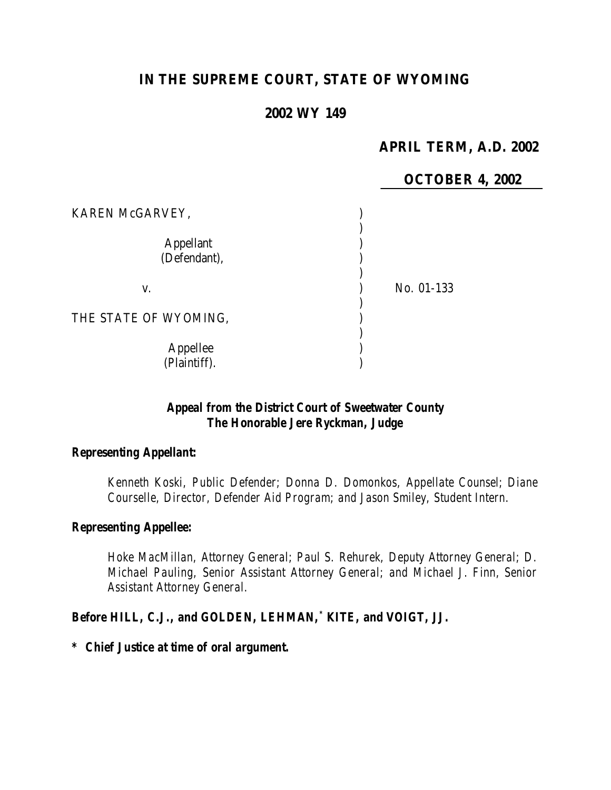# **IN THE SUPREME COURT, STATE OF WYOMING**

# **2002 WY 149**

# **APRIL TERM, A.D. 2002**

|                                  | <b>OCTOBER 4, 2002</b> |
|----------------------------------|------------------------|
| KAREN McGARVEY,                  |                        |
| <b>Appellant</b><br>(Defendant), |                        |
| V.                               | No. 01-133             |
| THE STATE OF WYOMING,            |                        |
| Appellee<br>(Plaintiff).         |                        |

# *Appeal from the District Court of Sweetwater County The Honorable Jere Ryckman, Judge*

### *Representing Appellant:*

*Kenneth Koski, Public Defender; Donna D. Domonkos, Appellate Counsel; Diane Courselle, Director, Defender Aid Program; and Jason Smiley, Student Intern.*

#### *Representing Appellee:*

*Hoke MacMillan, Attorney General; Paul S. Rehurek, Deputy Attorney General; D. Michael Pauling, Senior Assistant Attorney General; and Michael J. Finn, Senior Assistant Attorney General.*

#### *Before HILL, C.J., and GOLDEN, LEHMAN,\* KITE, and VOIGT, JJ.*

#### *\* Chief Justice at time of oral argument.*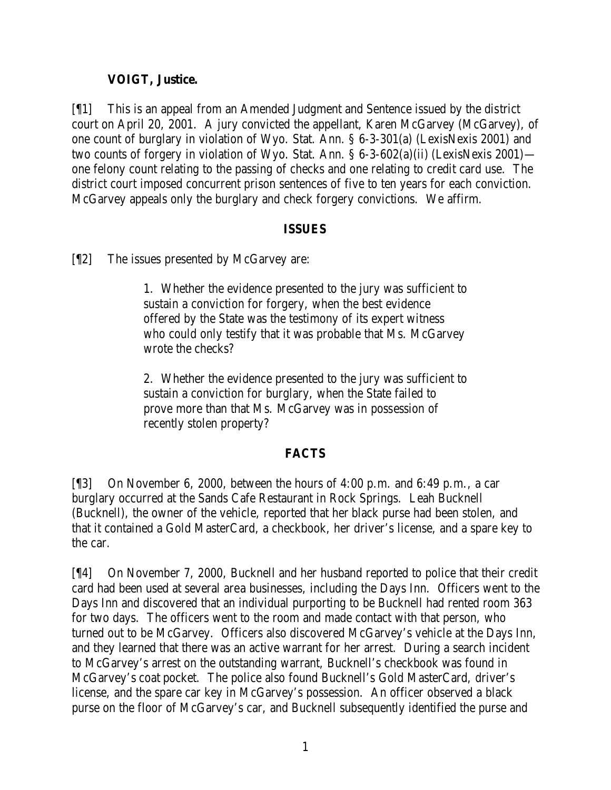# **VOIGT, Justice.**

[¶1] This is an appeal from an Amended Judgment and Sentence issued by the district court on April 20, 2001. A jury convicted the appellant, Karen McGarvey (McGarvey), of one count of burglary in violation of Wyo. Stat. Ann. § 6-3-301(a) (LexisNexis 2001) and two counts of forgery in violation of Wyo. Stat. Ann. § 6-3-602(a)(ii) (LexisNexis 2001) one felony count relating to the passing of checks and one relating to credit card use. The district court imposed concurrent prison sentences of five to ten years for each conviction. McGarvey appeals only the burglary and check forgery convictions. We affirm.

### **ISSUES**

[¶2] The issues presented by McGarvey are:

1. Whether the evidence presented to the jury was sufficient to sustain a conviction for forgery, when the best evidence offered by the State was the testimony of its expert witness who could only testify that it was probable that Ms. McGarvey wrote the checks?

2. Whether the evidence presented to the jury was sufficient to sustain a conviction for burglary, when the State failed to prove more than that Ms. McGarvey was in possession of recently stolen property?

#### **FACTS**

[¶3] On November 6, 2000, between the hours of 4:00 p.m. and 6:49 p.m., a car burglary occurred at the Sands Cafe Restaurant in Rock Springs. Leah Bucknell (Bucknell), the owner of the vehicle, reported that her black purse had been stolen, and that it contained a Gold MasterCard, a checkbook, her driver's license, and a spare key to the car.

[¶4] On November 7, 2000, Bucknell and her husband reported to police that their credit card had been used at several area businesses, including the Days Inn. Officers went to the Days Inn and discovered that an individual purporting to be Bucknell had rented room 363 for two days. The officers went to the room and made contact with that person, who turned out to be McGarvey. Officers also discovered McGarvey's vehicle at the Days Inn, and they learned that there was an active warrant for her arrest. During a search incident to McGarvey's arrest on the outstanding warrant, Bucknell's checkbook was found in McGarvey's coat pocket. The police also found Bucknell's Gold MasterCard, driver's license, and the spare car key in McGarvey's possession. An officer observed a black purse on the floor of McGarvey's car, and Bucknell subsequently identified the purse and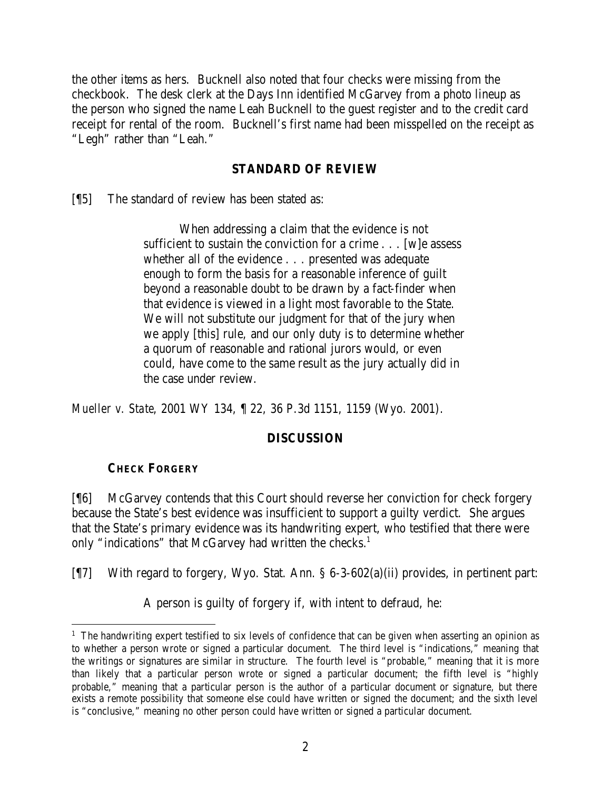the other items as hers. Bucknell also noted that four checks were missing from the checkbook. The desk clerk at the Days Inn identified McGarvey from a photo lineup as the person who signed the name Leah Bucknell to the guest register and to the credit card receipt for rental of the room. Bucknell's first name had been misspelled on the receipt as "Legh" rather than "Leah."

### **STANDARD OF REVIEW**

[¶5] The standard of review has been stated as:

When addressing a claim that the evidence is not sufficient to sustain the conviction for a crime . . . [w]e assess whether all of the evidence . . . presented was adequate enough to form the basis for a reasonable inference of guilt beyond a reasonable doubt to be drawn by a fact-finder when that evidence is viewed in a light most favorable to the State. We will not substitute our judgment for that of the jury when we apply [this] rule, and our only duty is to determine whether a quorum of reasonable and rational jurors would, or even could, have come to the same result as the jury actually did in the case under review.

*Mueller v. State*, 2001 WY 134, ¶ 22, 36 P.3d 1151, 1159 (Wyo. 2001).

# **DISCUSSION**

# **CHECK FORGERY**

[¶6] McGarvey contends that this Court should reverse her conviction for check forgery because the State's best evidence was insufficient to support a guilty verdict. She argues that the State's primary evidence was its handwriting expert, who testified that there were only "indications" that McGarvey had written the checks.<sup>1</sup>

[¶7] With regard to forgery, Wyo. Stat. Ann. § 6-3-602(a)(ii) provides, in pertinent part:

A person is guilty of forgery if, with intent to defraud, he:

<sup>&</sup>lt;sup>1</sup> The handwriting expert testified to six levels of confidence that can be given when asserting an opinion as to whether a person wrote or signed a particular document. The third level is "indications," meaning that the writings or signatures are similar in structure. The fourth level is "probable," meaning that it is more than likely that a particular person wrote or signed a particular document; the fifth level is "highly probable," meaning that a particular person is the author of a particular document or signature, but there exists a remote possibility that someone else could have written or signed the document; and the sixth level is "conclusive," meaning no other person could have written or signed a particular document.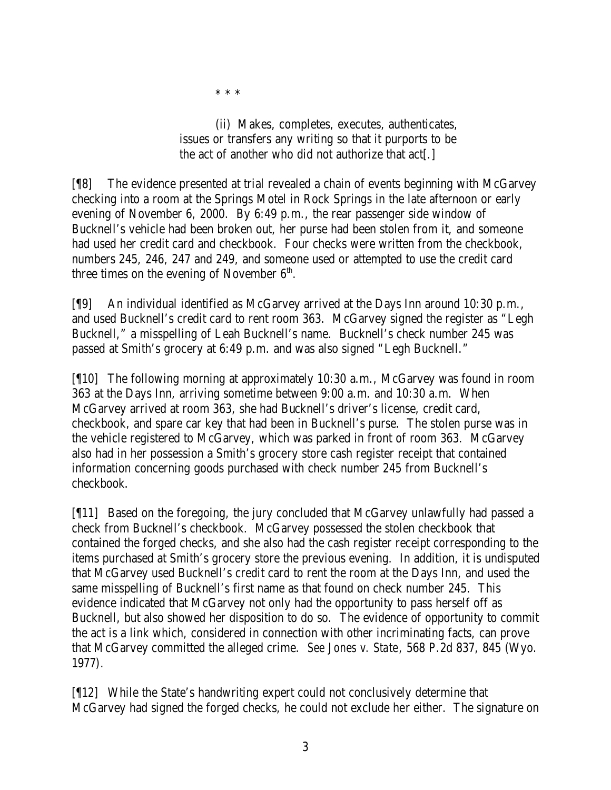\* \* \*

(ii) Makes, completes, executes, authenticates, issues or transfers any writing so that it purports to be the act of another who did not authorize that act[.]

[¶8] The evidence presented at trial revealed a chain of events beginning with McGarvey checking into a room at the Springs Motel in Rock Springs in the late afternoon or early evening of November 6, 2000. By 6:49 p.m., the rear passenger side window of Bucknell's vehicle had been broken out, her purse had been stolen from it, and someone had used her credit card and checkbook. Four checks were written from the checkbook, numbers 245, 246, 247 and 249, and someone used or attempted to use the credit card three times on the evening of November  $6<sup>th</sup>$ .

[¶9] An individual identified as McGarvey arrived at the Days Inn around 10:30 p.m., and used Bucknell's credit card to rent room 363. McGarvey signed the register as "Legh Bucknell," a misspelling of Leah Bucknell's name. Bucknell's check number 245 was passed at Smith's grocery at 6:49 p.m. and was also signed "Legh Bucknell."

[¶10] The following morning at approximately 10:30 a.m., McGarvey was found in room 363 at the Days Inn, arriving sometime between 9:00 a.m. and 10:30 a.m. When McGarvey arrived at room 363, she had Bucknell's driver's license, credit card, checkbook, and spare car key that had been in Bucknell's purse. The stolen purse was in the vehicle registered to McGarvey, which was parked in front of room 363. McGarvey also had in her possession a Smith's grocery store cash register receipt that contained information concerning goods purchased with check number 245 from Bucknell's checkbook.

[¶11] Based on the foregoing, the jury concluded that McGarvey unlawfully had passed a check from Bucknell's checkbook. McGarvey possessed the stolen checkbook that contained the forged checks, and she also had the cash register receipt corresponding to the items purchased at Smith's grocery store the previous evening. In addition, it is undisputed that McGarvey used Bucknell's credit card to rent the room at the Days Inn, and used the same misspelling of Bucknell's first name as that found on check number 245. This evidence indicated that McGarvey not only had the opportunity to pass herself off as Bucknell, but also showed her disposition to do so. The evidence of opportunity to commit the act is a link which, considered in connection with other incriminating facts, can prove that McGarvey committed the alleged crime. *See Jones v. State*, 568 P.2d 837, 845 (Wyo. 1977).

[¶12] While the State's handwriting expert could not conclusively determine that McGarvey had signed the forged checks, he could not exclude her either. The signature on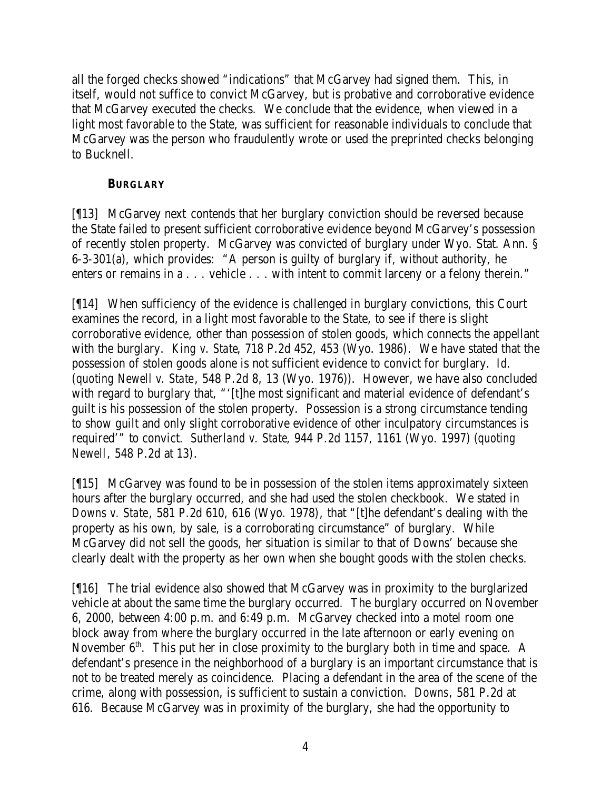all the forged checks showed "indications" that McGarvey had signed them. This, in itself, would not suffice to convict McGarvey, but is probative and corroborative evidence that McGarvey executed the checks. We conclude that the evidence, when viewed in a light most favorable to the State, was sufficient for reasonable individuals to conclude that McGarvey was the person who fraudulently wrote or used the preprinted checks belonging to Bucknell.

### **BURGLARY**

[¶13] McGarvey next contends that her burglary conviction should be reversed because the State failed to present sufficient corroborative evidence beyond McGarvey's possession of recently stolen property. McGarvey was convicted of burglary under Wyo. Stat. Ann. § 6-3-301(a), which provides: "A person is guilty of burglary if, without authority, he enters or remains in a . . . vehicle . . . with intent to commit larceny or a felony therein."

[¶14] When sufficiency of the evidence is challenged in burglary convictions, this Court examines the record, in a light most favorable to the State, to see if there is slight corroborative evidence, other than possession of stolen goods, which connects the appellant with the burglary. *King v. State*, 718 P.2d 452, 453 (Wyo. 1986). We have stated that the possession of stolen goods alone is not sufficient evidence to convict for burglary. *Id.* (*quoting Newell v. State*, 548 P.2d 8, 13 (Wyo. 1976)). However, we have also concluded with regard to burglary that, "'[t]he most significant and material evidence of defendant's guilt is his possession of the stolen property. Possession is a strong circumstance tending to show guilt and only slight corroborative evidence of other inculpatory circumstances is required'" to convict. *Sutherland v. State*, 944 P.2d 1157, 1161 (Wyo. 1997) (*quoting Newell*, 548 P.2d at 13).

[¶15] McGarvey was found to be in possession of the stolen items approximately sixteen hours after the burglary occurred, and she had used the stolen checkbook. We stated in *Downs v. State*, 581 P.2d 610, 616 (Wyo. 1978), that "[t]he defendant's dealing with the property as his own, by sale, is a corroborating circumstance" of burglary. While McGarvey did not sell the goods, her situation is similar to that of Downs' because she clearly dealt with the property as her own when she bought goods with the stolen checks.

[¶16] The trial evidence also showed that McGarvey was in proximity to the burglarized vehicle at about the same time the burglary occurred. The burglary occurred on November 6, 2000, between 4:00 p.m. and 6:49 p.m. McGarvey checked into a motel room one block away from where the burglary occurred in the late afternoon or early evening on November  $6<sup>th</sup>$ . This put her in close proximity to the burglary both in time and space. A defendant's presence in the neighborhood of a burglary is an important circumstance that is not to be treated merely as coincidence. Placing a defendant in the area of the scene of the crime, along with possession, is sufficient to sustain a conviction. *Downs*, 581 P.2d at 616. Because McGarvey was in proximity of the burglary, she had the opportunity to